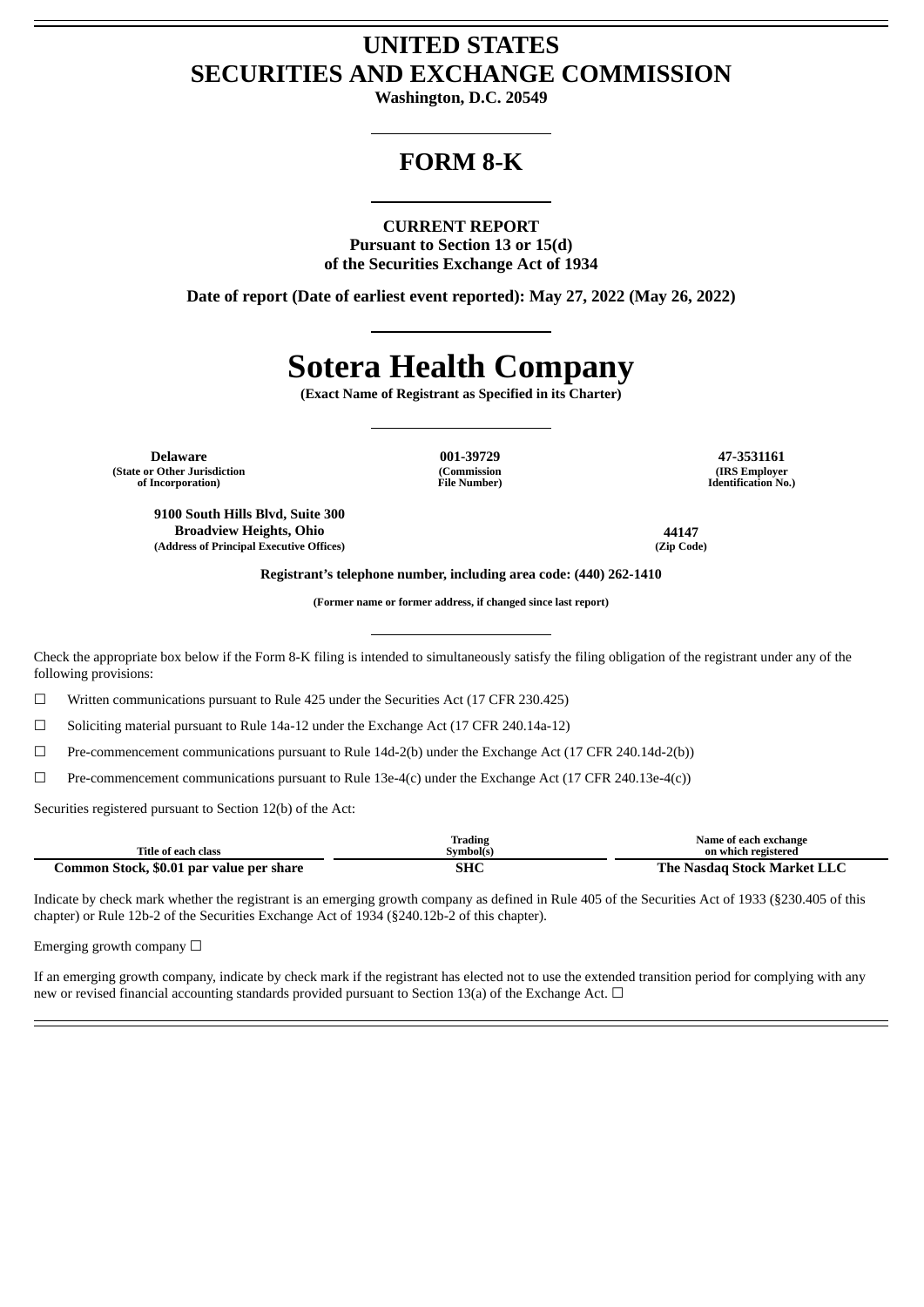## **UNITED STATES SECURITIES AND EXCHANGE COMMISSION**

**Washington, D.C. 20549**

## **FORM 8-K**

#### **CURRENT REPORT**

**Pursuant to Section 13 or 15(d) of the Securities Exchange Act of 1934**

**Date of report (Date of earliest event reported): May 27, 2022 (May 26, 2022)**

# **Sotera Health Company**

**(Exact Name of Registrant as Specified in its Charter)**

**Delaware 001-39729 47-3531161 (State or Other Jurisdiction of Incorporation)**

**9100 South Hills Blvd, Suite 300 Broadview Heights, Ohio 44147 (Address of Principal Executive Offices) (Zip Code)**

**(Commission File Number)**

**(IRS Employer Identification No.)**

**Registrant's telephone number, including area code: (440) 262-1410**

**(Former name or former address, if changed since last report)**

Check the appropriate box below if the Form 8-K filing is intended to simultaneously satisfy the filing obligation of the registrant under any of the following provisions:

 $\Box$  Written communications pursuant to Rule 425 under the Securities Act (17 CFR 230.425)

☐ Soliciting material pursuant to Rule 14a-12 under the Exchange Act (17 CFR 240.14a-12)

☐ Pre-commencement communications pursuant to Rule 14d-2(b) under the Exchange Act (17 CFR 240.14d-2(b))

☐ Pre-commencement communications pursuant to Rule 13e-4(c) under the Exchange Act (17 CFR 240.13e-4(c))

Securities registered pursuant to Section 12(b) of the Act:

|                                          | <b>Trading</b> | Name of each exchange       |
|------------------------------------------|----------------|-----------------------------|
| Title of each class                      | Symbol(s)      | on which registered         |
| Common Stock, \$0.01 par value per share | SHC            | The Nasdag Stock Market LLC |

Indicate by check mark whether the registrant is an emerging growth company as defined in Rule 405 of the Securities Act of 1933 (§230.405 of this chapter) or Rule 12b-2 of the Securities Exchange Act of 1934 (§240.12b-2 of this chapter).

Emerging growth company  $\Box$ 

If an emerging growth company, indicate by check mark if the registrant has elected not to use the extended transition period for complying with any new or revised financial accounting standards provided pursuant to Section 13(a) of the Exchange Act.  $\Box$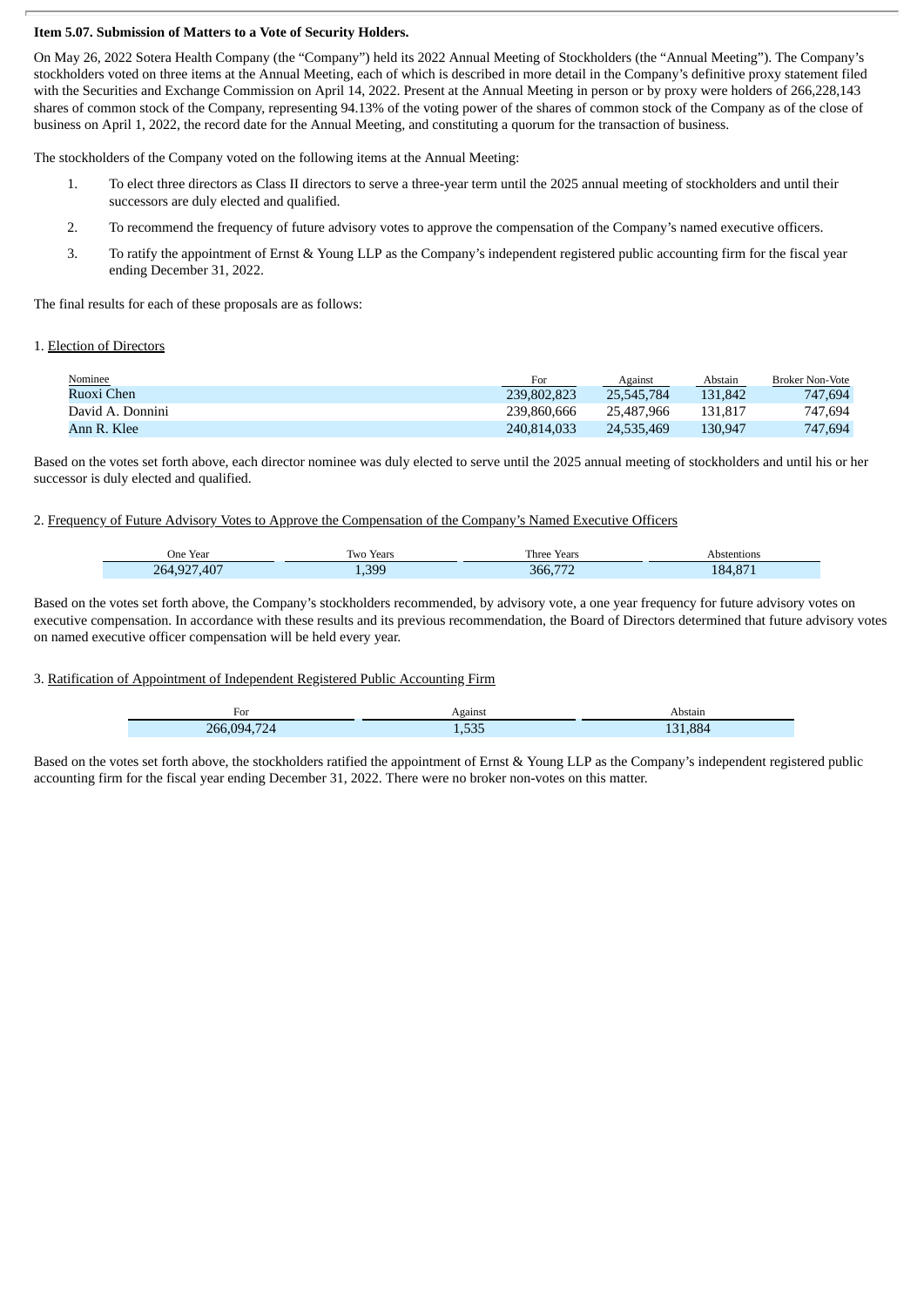#### **Item 5.07. Submission of Matters to a Vote of Security Holders.**

On May 26, 2022 Sotera Health Company (the "Company") held its 2022 Annual Meeting of Stockholders (the "Annual Meeting"). The Company's stockholders voted on three items at the Annual Meeting, each of which is described in more detail in the Company's definitive proxy statement filed with the Securities and Exchange Commission on April 14, 2022. Present at the Annual Meeting in person or by proxy were holders of 266,228,143 shares of common stock of the Company, representing 94.13% of the voting power of the shares of common stock of the Company as of the close of business on April 1, 2022, the record date for the Annual Meeting, and constituting a quorum for the transaction of business.

The stockholders of the Company voted on the following items at the Annual Meeting:

- 1. To elect three directors as Class II directors to serve a three-year term until the 2025 annual meeting of stockholders and until their successors are duly elected and qualified.
- 2. To recommend the frequency of future advisory votes to approve the compensation of the Company's named executive officers.
- 3. To ratify the appointment of Ernst & Young LLP as the Company's independent registered public accounting firm for the fiscal year ending December 31, 2022.

The final results for each of these proposals are as follows:

#### 1. Election of Directors

| Nominee          | For         | Against    | Abstain | <b>Broker Non-Vote</b> |
|------------------|-------------|------------|---------|------------------------|
| Ruoxi Chen       | 239,802,823 | 25,545,784 | 131.842 | 747.694                |
| David A. Donnini | 239,860,666 | 25.487.966 | 131.817 | 747.694                |
| Ann R. Klee      | 240.814.033 | 24,535,469 | 130.947 | 747,694                |

Based on the votes set forth above, each director nominee was duly elected to serve until the 2025 annual meeting of stockholders and until his or her successor is duly elected and qualified.

#### 2. Frequency of Future Advisory Votes to Approve the Compensation of the Company's Named Executive Officers

| $ -$<br>One Year | Two Years    | Three Years     | bstentions |
|------------------|--------------|-----------------|------------|
| ,407<br>264,927  | 399<br>4,JJJ | 366.7<br>H<br>. | 184,871    |

Based on the votes set forth above, the Company's stockholders recommended, by advisory vote, a one year frequency for future advisory votes on executive compensation. In accordance with these results and its previous recommendation, the Board of Directors determined that future advisory votes on named executive officer compensation will be held every year.

#### 3. Ratification of Appointment of Independent Registered Public Accounting Firm

| For                           | Against                | Abstain |
|-------------------------------|------------------------|---------|
| 266<br>094<br>$\overline{24}$ | $F^{\prime}$<br>L, JJJ | .884    |

Based on the votes set forth above, the stockholders ratified the appointment of Ernst & Young LLP as the Company's independent registered public accounting firm for the fiscal year ending December 31, 2022. There were no broker non-votes on this matter.